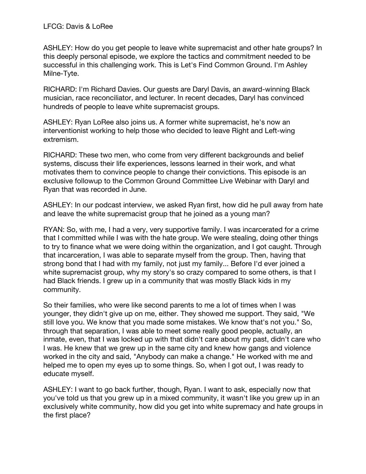ASHLEY: How do you get people to leave white supremacist and other hate groups? In this deeply personal episode, we explore the tactics and commitment needed to be successful in this challenging work. This is Let's Find Common Ground. I'm Ashley Milne-Tyte.

RICHARD: I'm Richard Davies. Our guests are Daryl Davis, an award-winning Black musician, race reconciliator, and lecturer. In recent decades, Daryl has convinced hundreds of people to leave white supremacist groups.

ASHLEY: Ryan LoRee also joins us. A former white supremacist, he's now an interventionist working to help those who decided to leave Right and Left-wing extremism.

RICHARD: These two men, who come from very different backgrounds and belief systems, discuss their life experiences, lessons learned in their work, and what motivates them to convince people to change their convictions. This episode is an exclusive followup to the Common Ground Committee Live Webinar with Daryl and Ryan that was recorded in June.

ASHLEY: In our podcast interview, we asked Ryan first, how did he pull away from hate and leave the white supremacist group that he joined as a young man?

RYAN: So, with me, I had a very, very supportive family. I was incarcerated for a crime that I committed while I was with the hate group. We were stealing, doing other things to try to finance what we were doing within the organization, and I got caught. Through that incarceration, I was able to separate myself from the group. Then, having that strong bond that I had with my family, not just my family... Before I'd ever joined a white supremacist group, why my story's so crazy compared to some others, is that I had Black friends. I grew up in a community that was mostly Black kids in my community.

So their families, who were like second parents to me a lot of times when I was younger, they didn't give up on me, either. They showed me support. They said, "We still love you. We know that you made some mistakes. We know that's not you." So, through that separation, I was able to meet some really good people, actually, an inmate, even, that I was locked up with that didn't care about my past, didn't care who I was. He knew that we grew up in the same city and knew how gangs and violence worked in the city and said, "Anybody can make a change." He worked with me and helped me to open my eyes up to some things. So, when I got out, I was ready to educate myself.

ASHLEY: I want to go back further, though, Ryan. I want to ask, especially now that you've told us that you grew up in a mixed community, it wasn't like you grew up in an exclusively white community, how did you get into white supremacy and hate groups in the first place?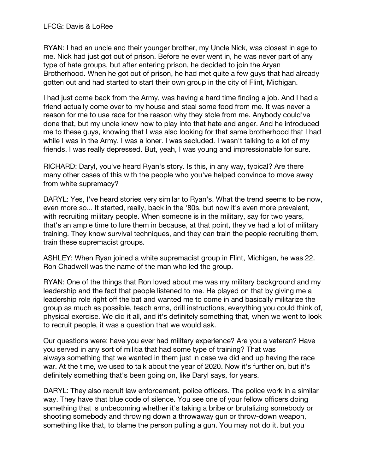RYAN: I had an uncle and their younger brother, my Uncle Nick, was closest in age to me. Nick had just got out of prison. Before he ever went in, he was never part of any type of hate groups, but after entering prison, he decided to join the Aryan Brotherhood. When he got out of prison, he had met quite a few guys that had already gotten out and had started to start their own group in the city of Flint, Michigan.

I had just come back from the Army, was having a hard time finding a job. And I had a friend actually come over to my house and steal some food from me. It was never a reason for me to use race for the reason why they stole from me. Anybody could've done that, but my uncle knew how to play into that hate and anger. And he introduced me to these guys, knowing that I was also looking for that same brotherhood that I had while I was in the Army. I was a loner. I was secluded. I wasn't talking to a lot of my friends. I was really depressed. But, yeah, I was young and impressionable for sure.

RICHARD: Daryl, you've heard Ryan's story. Is this, in any way, typical? Are there many other cases of this with the people who you've helped convince to move away from white supremacy?

DARYL: Yes, I've heard stories very similar to Ryan's. What the trend seems to be now, even more so... It started, really, back in the '80s, but now it's even more prevalent, with recruiting military people. When someone is in the military, say for two years, that's an ample time to lure them in because, at that point, they've had a lot of military training. They know survival techniques, and they can train the people recruiting them, train these supremacist groups.

ASHLEY: When Ryan joined a white supremacist group in Flint, Michigan, he was 22. Ron Chadwell was the name of the man who led the group.

RYAN: One of the things that Ron loved about me was my military background and my leadership and the fact that people listened to me. He played on that by giving me a leadership role right off the bat and wanted me to come in and basically militarize the group as much as possible, teach arms, drill instructions, everything you could think of, physical exercise. We did it all, and it's definitely something that, when we went to look to recruit people, it was a question that we would ask.

Our questions were: have you ever had military experience? Are you a veteran? Have you served in any sort of militia that had some type of training? That was always something that we wanted in them just in case we did end up having the race war. At the time, we used to talk about the year of 2020. Now it's further on, but it's definitely something that's been going on, like Daryl says, for years.

DARYL: They also recruit law enforcement, police officers. The police work in a similar way. They have that blue code of silence. You see one of your fellow officers doing something that is unbecoming whether it's taking a bribe or brutalizing somebody or shooting somebody and throwing down a throwaway gun or throw-down weapon, something like that, to blame the person pulling a gun. You may not do it, but you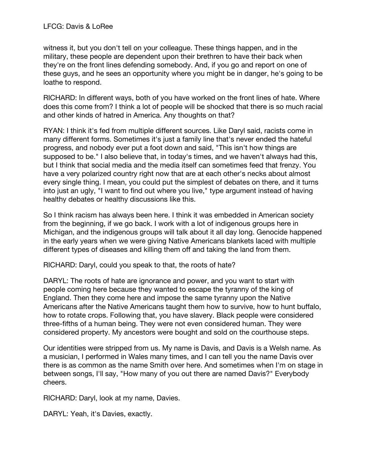witness it, but you don't tell on your colleague. These things happen, and in the military, these people are dependent upon their brethren to have their back when they're on the front lines defending somebody. And, if you go and report on one of these guys, and he sees an opportunity where you might be in danger, he's going to be loathe to respond.

RICHARD: In different ways, both of you have worked on the front lines of hate. Where does this come from? I think a lot of people will be shocked that there is so much racial and other kinds of hatred in America. Any thoughts on that?

RYAN: I think it's fed from multiple different sources. Like Daryl said, racists come in many different forms. Sometimes it's just a family line that's never ended the hateful progress, and nobody ever put a foot down and said, "This isn't how things are supposed to be." I also believe that, in today's times, and we haven't always had this, but I think that social media and the media itself can sometimes feed that frenzy. You have a very polarized country right now that are at each other's necks about almost every single thing. I mean, you could put the simplest of debates on there, and it turns into just an ugly, "I want to find out where you live," type argument instead of having healthy debates or healthy discussions like this.

So I think racism has always been here. I think it was embedded in American society from the beginning, if we go back. I work with a lot of indigenous groups here in Michigan, and the indigenous groups will talk about it all day long. Genocide happened in the early years when we were giving Native Americans blankets laced with multiple different types of diseases and killing them off and taking the land from them.

RICHARD: Daryl, could you speak to that, the roots of hate?

DARYL: The roots of hate are ignorance and power, and you want to start with people coming here because they wanted to escape the tyranny of the king of England. Then they come here and impose the same tyranny upon the Native Americans after the Native Americans taught them how to survive, how to hunt buffalo, how to rotate crops. Following that, you have slavery. Black people were considered three-fifths of a human being. They were not even considered human. They were considered property. My ancestors were bought and sold on the courthouse steps.

Our identities were stripped from us. My name is Davis, and Davis is a Welsh name. As a musician, I performed in Wales many times, and I can tell you the name Davis over there is as common as the name Smith over here. And sometimes when I'm on stage in between songs, I'll say, "How many of you out there are named Davis?" Everybody cheers.

RICHARD: Daryl, look at my name, Davies.

DARYL: Yeah, it's Davies, exactly.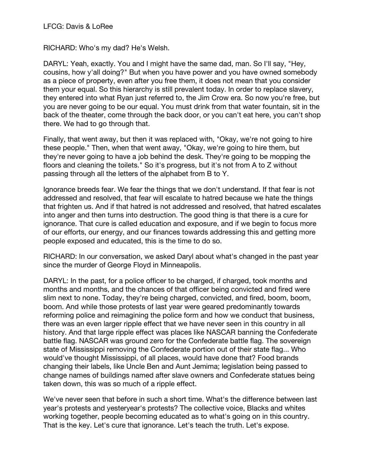RICHARD: Who's my dad? He's Welsh.

DARYL: Yeah, exactly. You and I might have the same dad, man. So I'll say, "Hey, cousins, how y'all doing?" But when you have power and you have owned somebody as a piece of property, even after you free them, it does not mean that you consider them your equal. So this hierarchy is still prevalent today. In order to replace slavery, they entered into what Ryan just referred to, the Jim Crow era. So now you're free, but you are never going to be our equal. You must drink from that water fountain, sit in the back of the theater, come through the back door, or you can't eat here, you can't shop there. We had to go through that.

Finally, that went away, but then it was replaced with, "Okay, we're not going to hire these people." Then, when that went away, "Okay, we're going to hire them, but they're never going to have a job behind the desk. They're going to be mopping the floors and cleaning the toilets." So it's progress, but it's not from A to Z without passing through all the letters of the alphabet from B to Y.

Ignorance breeds fear. We fear the things that we don't understand. If that fear is not addressed and resolved, that fear will escalate to hatred because we hate the things that frighten us. And if that hatred is not addressed and resolved, that hatred escalates into anger and then turns into destruction. The good thing is that there is a cure for ignorance. That cure is called education and exposure, and if we begin to focus more of our efforts, our energy, and our finances towards addressing this and getting more people exposed and educated, this is the time to do so.

RICHARD: In our conversation, we asked Daryl about what's changed in the past year since the murder of George Floyd in Minneapolis.

DARYL: In the past, for a police officer to be charged, if charged, took months and months and months, and the chances of that officer being convicted and fired were slim next to none. Today, they're being charged, convicted, and fired, boom, boom, boom. And while those protests of last year were geared predominantly towards reforming police and reimagining the police form and how we conduct that business, there was an even larger ripple effect that we have never seen in this country in all history. And that large ripple effect was places like NASCAR banning the Confederate battle flag. NASCAR was ground zero for the Confederate battle flag. The sovereign state of Mississippi removing the Confederate portion out of their state flag... Who would've thought Mississippi, of all places, would have done that? Food brands changing their labels, like Uncle Ben and Aunt Jemima; legislation being passed to change names of buildings named after slave owners and Confederate statues being taken down, this was so much of a ripple effect.

We've never seen that before in such a short time. What's the difference between last year's protests and yesteryear's protests? The collective voice, Blacks and whites working together, people becoming educated as to what's going on in this country. That is the key. Let's cure that ignorance. Let's teach the truth. Let's expose.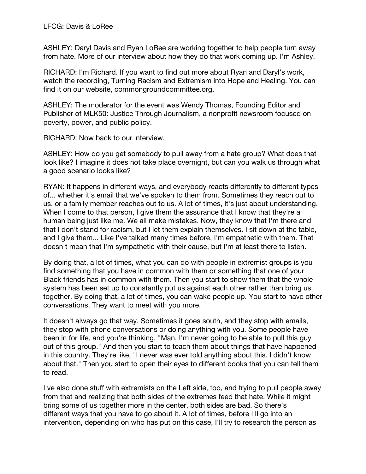ASHLEY: Daryl Davis and Ryan LoRee are working together to help people turn away from hate. More of our interview about how they do that work coming up. I'm Ashley.

RICHARD: I'm Richard. If you want to find out more about Ryan and Daryl's work, watch the recording, Turning Racism and Extremism into Hope and Healing. You can find it on our website, commongroundcommittee.org.

ASHLEY: The moderator for the event was Wendy Thomas, Founding Editor and Publisher of MLK50: Justice Through Journalism, a nonprofit newsroom focused on poverty, power, and public policy.

RICHARD: Now back to our interview.

ASHLEY: How do you get somebody to pull away from a hate group? What does that look like? I imagine it does not take place overnight, but can you walk us through what a good scenario looks like?

RYAN: It happens in different ways, and everybody reacts differently to different types of... whether it's email that we've spoken to them from. Sometimes they reach out to us, or a family member reaches out to us. A lot of times, it's just about understanding. When I come to that person, I give them the assurance that I know that they're a human being just like me. We all make mistakes. Now, they know that I'm there and that I don't stand for racism, but I let them explain themselves. I sit down at the table, and I give them... Like I've talked many times before, I'm empathetic with them. That doesn't mean that I'm sympathetic with their cause, but I'm at least there to listen.

By doing that, a lot of times, what you can do with people in extremist groups is you find something that you have in common with them or something that one of your Black friends has in common with them. Then you start to show them that the whole system has been set up to constantly put us against each other rather than bring us together. By doing that, a lot of times, you can wake people up. You start to have other conversations. They want to meet with you more.

It doesn't always go that way. Sometimes it goes south, and they stop with emails, they stop with phone conversations or doing anything with you. Some people have been in for life, and you're thinking, "Man, I'm never going to be able to pull this guy out of this group." And then you start to teach them about things that have happened in this country. They're like, "I never was ever told anything about this. I didn't know about that." Then you start to open their eyes to different books that you can tell them to read.

I've also done stuff with extremists on the Left side, too, and trying to pull people away from that and realizing that both sides of the extremes feed that hate. While it might bring some of us together more in the center, both sides are bad. So there's different ways that you have to go about it. A lot of times, before I'll go into an intervention, depending on who has put on this case, I'll try to research the person as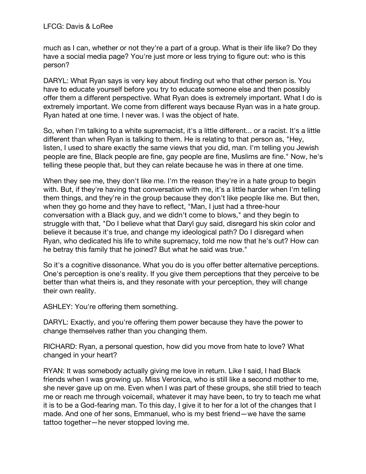much as I can, whether or not they're a part of a group. What is their life like? Do they have a social media page? You're just more or less trying to figure out: who is this person?

DARYL: What Ryan says is very key about finding out who that other person is. You have to educate yourself before you try to educate someone else and then possibly offer them a different perspective. What Ryan does is extremely important. What I do is extremely important. We come from different ways because Ryan was in a hate group. Ryan hated at one time. I never was. I was the object of hate.

So, when I'm talking to a white supremacist, it's a little different... or a racist. It's a little different than when Ryan is talking to them. He is relating to that person as, "Hey, listen, I used to share exactly the same views that you did, man. I'm telling you Jewish people are fine, Black people are fine, gay people are fine, Muslims are fine." Now, he's telling these people that, but they can relate because he was in there at one time.

When they see me, they don't like me. I'm the reason they're in a hate group to begin with. But, if they're having that conversation with me, it's a little harder when I'm telling them things, and they're in the group because they don't like people like me. But then, when they go home and they have to reflect, "Man, I just had a three-hour conversation with a Black guy, and we didn't come to blows," and they begin to struggle with that, "Do I believe what that Daryl guy said, disregard his skin color and believe it because it's true, and change my ideological path? Do I disregard when Ryan, who dedicated his life to white supremacy, told me now that he's out? How can he betray this family that he joined? But what he said was true."

So it's a cognitive dissonance. What you do is you offer better alternative perceptions. One's perception is one's reality. If you give them perceptions that they perceive to be better than what theirs is, and they resonate with your perception, they will change their own reality.

ASHLEY: You're offering them something.

DARYL: Exactly, and you're offering them power because they have the power to change themselves rather than you changing them.

RICHARD: Ryan, a personal question, how did you move from hate to love? What changed in your heart?

RYAN: It was somebody actually giving me love in return. Like I said, I had Black friends when I was growing up. Miss Veronica, who is still like a second mother to me, she never gave up on me. Even when I was part of these groups, she still tried to teach me or reach me through voicemail, whatever it may have been, to try to teach me what it is to be a God-fearing man. To this day, I give it to her for a lot of the changes that I made. And one of her sons, Emmanuel, who is my best friend—we have the same tattoo together—he never stopped loving me.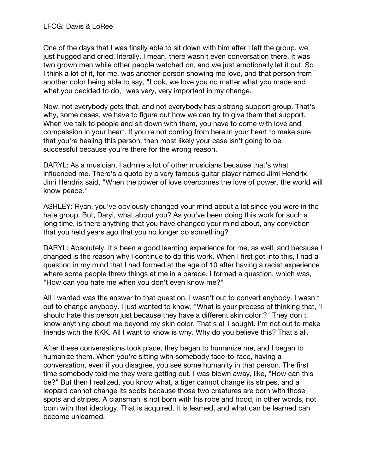One of the days that I was finally able to sit down with him after I left the group, we just hugged and cried, literally. I mean, there wasn't even conversation there. It was two grown men while other people watched on, and we just emotionally let it out. So I think a lot of it, for me, was another person showing me love, and that person from another color being able to say, "Look, we love you no matter what you made and what you decided to do," was very, very important in my change.

Now, not everybody gets that, and not everybody has a strong support group. That's why, some cases, we have to figure out how we can try to give them that support. When we talk to people and sit down with them, you have to come with love and compassion in your heart. If you're not coming from here in your heart to make sure that you're healing this person, then most likely your case isn't going to be successful because you're there for the wrong reason.

DARYL: As a musician, I admire a lot of other musicians because that's what influenced me. There's a quote by a very famous guitar player named Jimi Hendrix. Jimi Hendrix said, "When the power of love overcomes the love of power, the world will know peace."

ASHLEY: Ryan, you've obviously changed your mind about a lot since you were in the hate group. But, Daryl, what about you? As you've been doing this work for such a long time, is there anything that you have changed your mind about, any conviction that you held years ago that you no longer do something?

DARYL: Absolutely. It's been a good learning experience for me, as well, and because I changed is the reason why I continue to do this work. When I first got into this, I had a question in my mind that I had formed at the age of 10 after having a racist experience where some people threw things at me in a parade. I formed a question, which was, "How can you hate me when you don't even know me?"

All I wanted was the answer to that question. I wasn't out to convert anybody. I wasn't out to change anybody. I just wanted to know, "What is your process of thinking that, 'I should hate this person just because they have a different skin color'?" They don't know anything about me beyond my skin color. That's all I sought. I'm not out to make friends with the KKK. All I want to know is why. Why do you believe this? That's all.

After these conversations took place, they began to humanize me, and I began to humanize them. When you're sitting with somebody face-to-face, having a conversation, even if you disagree, you see some humanity in that person. The first time somebody told me they were getting out, I was blown away, like, "How can this be?" But then I realized, you know what, a tiger cannot change its stripes, and a leopard cannot change its spots because those two creatures are born with those spots and stripes. A clansman is not born with his robe and hood, in other words, not born with that ideology. That is acquired. It is learned, and what can be learned can become unlearned.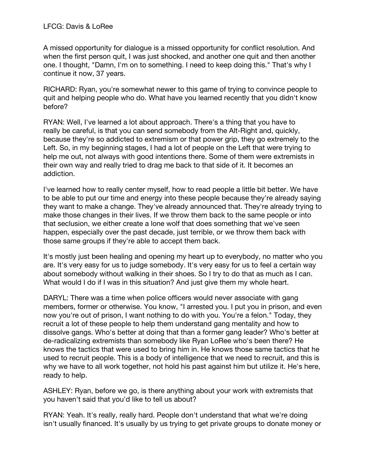A missed opportunity for dialogue is a missed opportunity for conflict resolution. And when the first person quit, I was just shocked, and another one quit and then another one. I thought, "Damn, I'm on to something. I need to keep doing this." That's why I continue it now, 37 years.

RICHARD: Ryan, you're somewhat newer to this game of trying to convince people to quit and helping people who do. What have you learned recently that you didn't know before?

RYAN: Well, I've learned a lot about approach. There's a thing that you have to really be careful, is that you can send somebody from the Alt-Right and, quickly, because they're so addicted to extremism or that power grip, they go extremely to the Left. So, in my beginning stages, I had a lot of people on the Left that were trying to help me out, not always with good intentions there. Some of them were extremists in their own way and really tried to drag me back to that side of it. It becomes an addiction.

I've learned how to really center myself, how to read people a little bit better. We have to be able to put our time and energy into these people because they're already saying they want to make a change. They've already announced that. They're already trying to make those changes in their lives. If we throw them back to the same people or into that seclusion, we either create a lone wolf that does something that we've seen happen, especially over the past decade, just terrible, or we throw them back with those same groups if they're able to accept them back.

It's mostly just been healing and opening my heart up to everybody, no matter who you are. It's very easy for us to judge somebody. It's very easy for us to feel a certain way about somebody without walking in their shoes. So I try to do that as much as I can. What would I do if I was in this situation? And just give them my whole heart.

DARYL: There was a time when police officers would never associate with gang members, former or otherwise. You know, "I arrested you. I put you in prison, and even now you're out of prison, I want nothing to do with you. You're a felon." Today, they recruit a lot of these people to help them understand gang mentality and how to dissolve gangs. Who's better at doing that than a former gang leader? Who's better at de-radicalizing extremists than somebody like Ryan LoRee who's been there? He knows the tactics that were used to bring him in. He knows those same tactics that he used to recruit people. This is a body of intelligence that we need to recruit, and this is why we have to all work together, not hold his past against him but utilize it. He's here, ready to help.

ASHLEY: Ryan, before we go, is there anything about your work with extremists that you haven't said that you'd like to tell us about?

RYAN: Yeah. It's really, really hard. People don't understand that what we're doing isn't usually financed. It's usually by us trying to get private groups to donate money or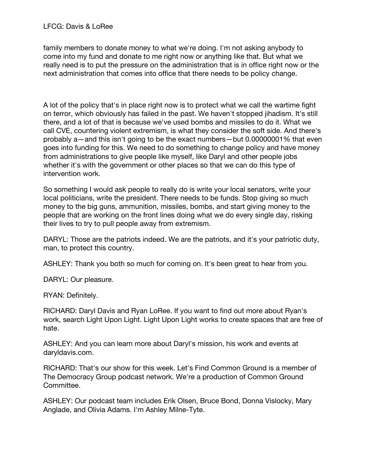family members to donate money to what we're doing. I'm not asking anybody to come into my fund and donate to me right now or anything like that. But what we really need is to put the pressure on the administration that is in office right now or the next administration that comes into office that there needs to be policy change.

A lot of the policy that's in place right now is to protect what we call the wartime fight on terror, which obviously has failed in the past. We haven't stopped jihadism. It's still there, and a lot of that is because we've used bombs and missiles to do it. What we call CVE, countering violent extremism, is what they consider the soft side. And there's probably a—and this isn't going to be the exact numbers—but 0.00000001% that even goes into funding for this. We need to do something to change policy and have money from administrations to give people like myself, like Daryl and other people jobs whether it's with the government or other places so that we can do this type of intervention work.

So something I would ask people to really do is write your local senators, write your local politicians, write the president. There needs to be funds. Stop giving so much money to the big guns, ammunition, missiles, bombs, and start giving money to the people that are working on the front lines doing what we do every single day, risking their lives to try to pull people away from extremism.

DARYL: Those are the patriots indeed. We are the patriots, and it's your patriotic duty, man, to protect this country.

ASHLEY: Thank you both so much for coming on. It's been great to hear from you.

DARYL: Our pleasure.

RYAN: Definitely.

RICHARD: Daryl Davis and Ryan LoRee. If you want to find out more about Ryan's work, search Light Upon Light. Light Upon Light works to create spaces that are free of hate.

ASHLEY: And you can learn more about Daryl's mission, his work and events at daryldavis.com.

RICHARD: That's our show for this week. Let's Find Common Ground is a member of The Democracy Group podcast network. We're a production of Common Ground Committee.

ASHLEY: Our podcast team includes Erik Olsen, Bruce Bond, Donna Vislocky, Mary Anglade, and Olivia Adams. I'm Ashley Milne-Tyte.